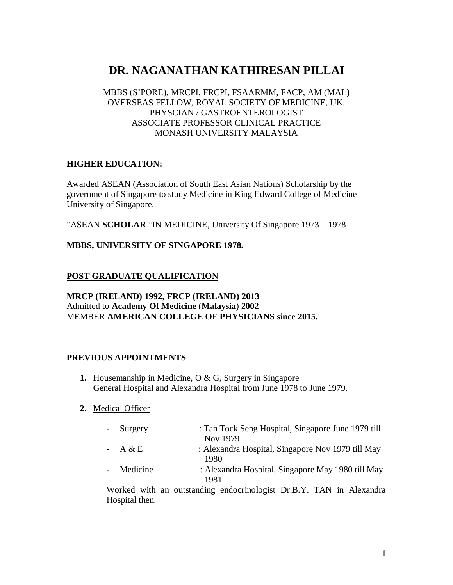# **DR. NAGANATHAN KATHIRESAN PILLAI**

MBBS (S'PORE), MRCPI, FRCPI, FSAARMM, FACP, AM (MAL) OVERSEAS FELLOW, ROYAL SOCIETY OF MEDICINE, UK. PHYSCIAN / GASTROENTEROLOGIST ASSOCIATE PROFESSOR CLINICAL PRACTICE MONASH UNIVERSITY MALAYSIA

# **HIGHER EDUCATION:**

Awarded ASEAN (Association of South East Asian Nations) Scholarship by the government of Singapore to study Medicine in King Edward College of Medicine University of Singapore.

"ASEAN **SCHOLAR** "IN MEDICINE, University Of Singapore 1973 – 1978

### **MBBS, UNIVERSITY OF SINGAPORE 1978.**

# **POST GRADUATE QUALIFICATION**

### **MRCP (IRELAND) 1992, FRCP (IRELAND) 2013** Admitted to **Academy Of Medicine** (**Malaysia**) **2002** MEMBER **AMERICAN COLLEGE OF PHYSICIANS since 2015.**

#### **PREVIOUS APPOINTMENTS**

- **1.** Housemanship in Medicine, O & G, Surgery in Singapore General Hospital and Alexandra Hospital from June 1978 to June 1979.
- **2.** Medical Officer

| - Surgery  | : Tan Tock Seng Hospital, Singapore June 1979 till<br>Nov 1979 |
|------------|----------------------------------------------------------------|
| $- A & E$  | : Alexandra Hospital, Singapore Nov 1979 till May<br>1980      |
| - Medicine | : Alexandra Hospital, Singapore May 1980 till May<br>1981      |
|            |                                                                |

Worked with an outstanding endocrinologist Dr.B.Y. TAN in Alexandra Hospital then.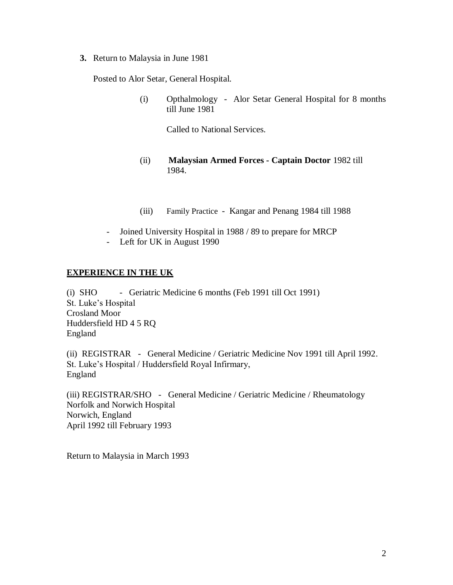**3.** Return to Malaysia in June 1981

Posted to Alor Setar, General Hospital.

(i) Opthalmology - Alor Setar General Hospital for 8 months till June 1981

Called to National Services.

- (ii) **Malaysian Armed Forces - Captain Doctor** 1982 till 1984.
- (iii) Family Practice Kangar and Penang 1984 till 1988
- Joined University Hospital in 1988 / 89 to prepare for MRCP
- Left for UK in August 1990

### **EXPERIENCE IN THE UK**

(i) SHO - Geriatric Medicine 6 months (Feb 1991 till Oct 1991) St. Luke's Hospital Crosland Moor Huddersfield HD 4 5 RQ England

(ii) REGISTRAR - General Medicine / Geriatric Medicine Nov 1991 till April 1992. St. Luke's Hospital / Huddersfield Royal Infirmary, England

(iii) REGISTRAR/SHO - General Medicine / Geriatric Medicine / Rheumatology Norfolk and Norwich Hospital Norwich, England April 1992 till February 1993

Return to Malaysia in March 1993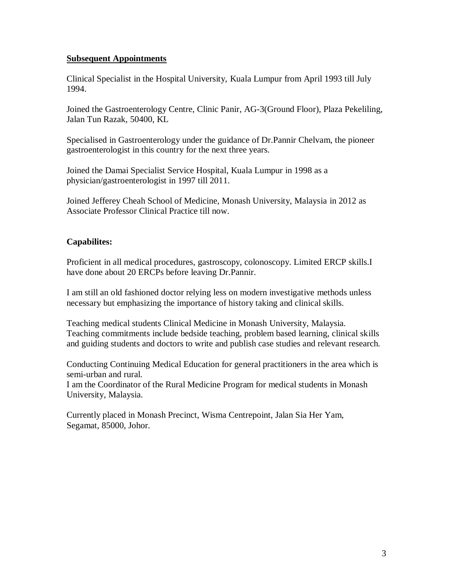#### **Subsequent Appointments**

Clinical Specialist in the Hospital University, Kuala Lumpur from April 1993 till July 1994.

Joined the Gastroenterology Centre, Clinic Panir, AG-3(Ground Floor), Plaza Pekeliling, Jalan Tun Razak, 50400, KL

Specialised in Gastroenterology under the guidance of Dr.Pannir Chelvam, the pioneer gastroenterologist in this country for the next three years.

Joined the Damai Specialist Service Hospital, Kuala Lumpur in 1998 as a physician/gastroenterologist in 1997 till 2011.

Joined Jefferey Cheah School of Medicine, Monash University, Malaysia in 2012 as Associate Professor Clinical Practice till now.

# **Capabilites:**

Proficient in all medical procedures, gastroscopy, colonoscopy. Limited ERCP skills.I have done about 20 ERCPs before leaving Dr.Pannir.

I am still an old fashioned doctor relying less on modern investigative methods unless necessary but emphasizing the importance of history taking and clinical skills.

Teaching medical students Clinical Medicine in Monash University, Malaysia. Teaching commitments include bedside teaching, problem based learning, clinical skills and guiding students and doctors to write and publish case studies and relevant research.

Conducting Continuing Medical Education for general practitioners in the area which is semi-urban and rural.

I am the Coordinator of the Rural Medicine Program for medical students in Monash University, Malaysia.

Currently placed in Monash Precinct, Wisma Centrepoint, Jalan Sia Her Yam, Segamat, 85000, Johor.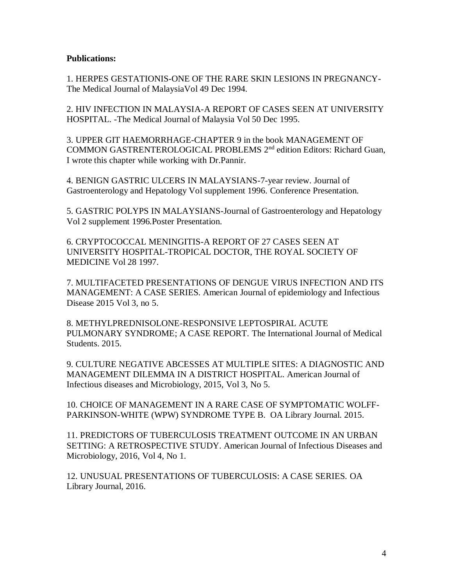#### **Publications:**

1. HERPES GESTATIONIS-ONE OF THE RARE SKIN LESIONS IN PREGNANCY-The Medical Journal of MalaysiaVol 49 Dec 1994.

2. HIV INFECTION IN MALAYSIA-A REPORT OF CASES SEEN AT UNIVERSITY HOSPITAL. -The Medical Journal of Malaysia Vol 50 Dec 1995.

3. UPPER GIT HAEMORRHAGE-CHAPTER 9 in the book MANAGEMENT OF COMMON GASTRENTEROLOGICAL PROBLEMS 2nd edition Editors: Richard Guan, I wrote this chapter while working with Dr.Pannir.

4. BENIGN GASTRIC ULCERS IN MALAYSIANS-7-year review. Journal of Gastroenterology and Hepatology Vol supplement 1996. Conference Presentation.

5. GASTRIC POLYPS IN MALAYSIANS-Journal of Gastroenterology and Hepatology Vol 2 supplement 1996.Poster Presentation.

6. CRYPTOCOCCAL MENINGITIS-A REPORT OF 27 CASES SEEN AT UNIVERSITY HOSPITAL-TROPICAL DOCTOR, THE ROYAL SOCIETY OF MEDICINE Vol 28 1997.

7. MULTIFACETED PRESENTATIONS OF DENGUE VIRUS INFECTION AND ITS MANAGEMENT: A CASE SERIES. American Journal of epidemiology and Infectious Disease 2015 Vol 3, no 5.

8. METHYLPREDNISOLONE-RESPONSIVE LEPTOSPIRAL ACUTE PULMONARY SYNDROME; A CASE REPORT. The International Journal of Medical Students. 2015.

9. CULTURE NEGATIVE ABCESSES AT MULTIPLE SITES: A DIAGNOSTIC AND MANAGEMENT DILEMMA IN A DISTRICT HOSPITAL. American Journal of Infectious diseases and Microbiology, 2015, Vol 3, No 5.

10. CHOICE OF MANAGEMENT IN A RARE CASE OF SYMPTOMATIC WOLFF-PARKINSON-WHITE (WPW) SYNDROME TYPE B. OA Library Journal. 2015.

11. PREDICTORS OF TUBERCULOSIS TREATMENT OUTCOME IN AN URBAN SETTING: A RETROSPECTIVE STUDY. American Journal of Infectious Diseases and Microbiology, 2016, Vol 4, No 1.

12. UNUSUAL PRESENTATIONS OF TUBERCULOSIS: A CASE SERIES. OA Library Journal, 2016.